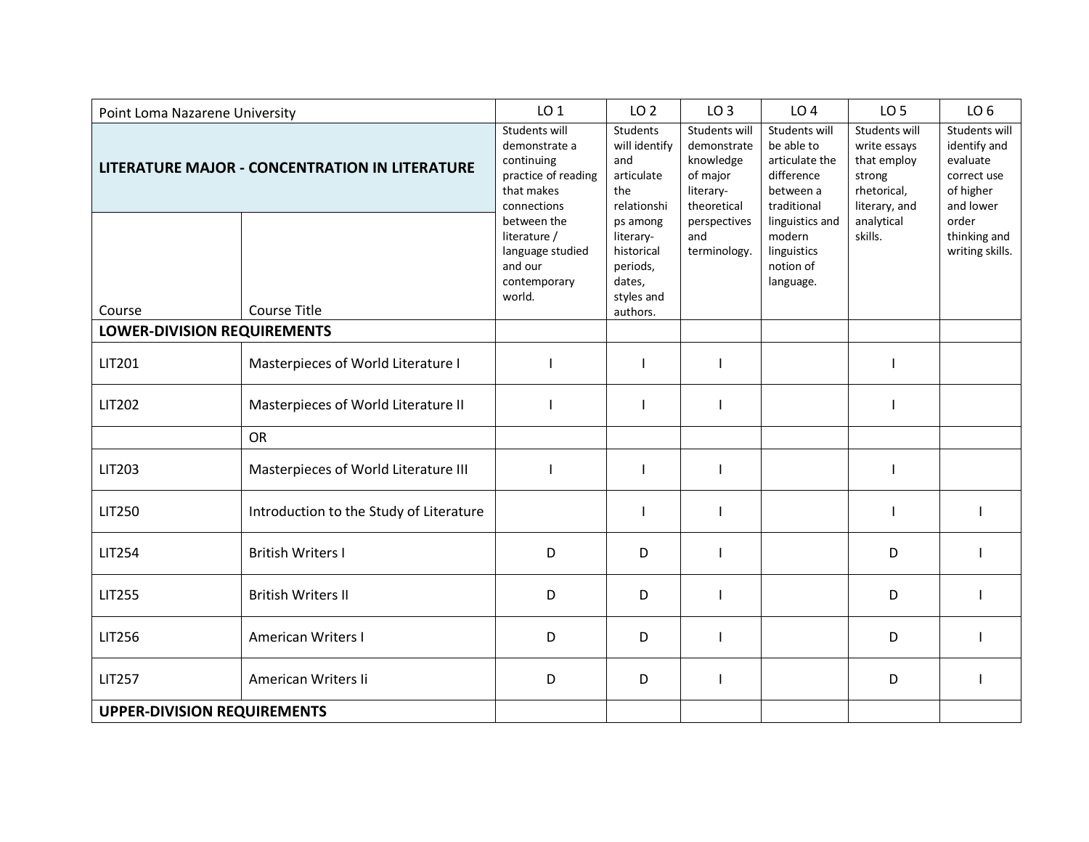| Point Loma Nazarene University                        |                                         | LO <sub>1</sub>                                                                                  | LO <sub>2</sub>                                                         | LO <sub>3</sub>                                                                          | LO <sub>4</sub>                                                                         | LO <sub>5</sub>                                                                        | LO <sub>6</sub>                                                                    |
|-------------------------------------------------------|-----------------------------------------|--------------------------------------------------------------------------------------------------|-------------------------------------------------------------------------|------------------------------------------------------------------------------------------|-----------------------------------------------------------------------------------------|----------------------------------------------------------------------------------------|------------------------------------------------------------------------------------|
| <b>LITERATURE MAJOR - CONCENTRATION IN LITERATURE</b> |                                         | Students will<br>demonstrate a<br>continuing<br>practice of reading<br>that makes<br>connections | Students<br>will identify<br>and<br>articulate<br>the<br>relationshi    | <b>Students will</b><br>demonstrate<br>knowledge<br>of major<br>literary-<br>theoretical | Students will<br>be able to<br>articulate the<br>difference<br>between a<br>traditional | Students will<br>write essays<br>that employ<br>strong<br>rhetorical,<br>literary, and | Students will<br>identify and<br>evaluate<br>correct use<br>of higher<br>and lower |
|                                                       |                                         | between the<br>literature /<br>language studied<br>and our<br>contemporary<br>world.             | ps among<br>literary-<br>historical<br>periods,<br>dates,<br>styles and | perspectives<br>and<br>terminology.                                                      | linguistics and<br>modern<br>linguistics<br>notion of<br>language.                      | analytical<br>skills.                                                                  | order<br>thinking and<br>writing skills.                                           |
| Course                                                | <b>Course Title</b>                     |                                                                                                  | authors.                                                                |                                                                                          |                                                                                         |                                                                                        |                                                                                    |
| <b>LOWER-DIVISION REQUIREMENTS</b>                    |                                         |                                                                                                  |                                                                         |                                                                                          |                                                                                         |                                                                                        |                                                                                    |
| LIT201                                                | Masterpieces of World Literature I      |                                                                                                  | $\overline{\phantom{a}}$                                                |                                                                                          |                                                                                         |                                                                                        |                                                                                    |
| <b>LIT202</b>                                         | Masterpieces of World Literature II     |                                                                                                  |                                                                         |                                                                                          |                                                                                         |                                                                                        |                                                                                    |
|                                                       | <b>OR</b>                               |                                                                                                  |                                                                         |                                                                                          |                                                                                         |                                                                                        |                                                                                    |
| LIT203                                                | Masterpieces of World Literature III    |                                                                                                  | l                                                                       |                                                                                          |                                                                                         |                                                                                        |                                                                                    |
| <b>LIT250</b>                                         | Introduction to the Study of Literature |                                                                                                  | l                                                                       |                                                                                          |                                                                                         |                                                                                        |                                                                                    |
| <b>LIT254</b>                                         | <b>British Writers I</b>                | D                                                                                                | D                                                                       |                                                                                          |                                                                                         | D                                                                                      |                                                                                    |
| <b>LIT255</b>                                         | <b>British Writers II</b>               | D                                                                                                | D                                                                       | <sup>1</sup>                                                                             |                                                                                         | D                                                                                      |                                                                                    |
| <b>LIT256</b>                                         | <b>American Writers I</b>               | D                                                                                                | D                                                                       |                                                                                          |                                                                                         | D                                                                                      |                                                                                    |
| <b>LIT257</b>                                         | American Writers Ii                     | D                                                                                                | D                                                                       | $\mathsf{l}$                                                                             |                                                                                         | D                                                                                      |                                                                                    |
| <b>UPPER-DIVISION REQUIREMENTS</b>                    |                                         |                                                                                                  |                                                                         |                                                                                          |                                                                                         |                                                                                        |                                                                                    |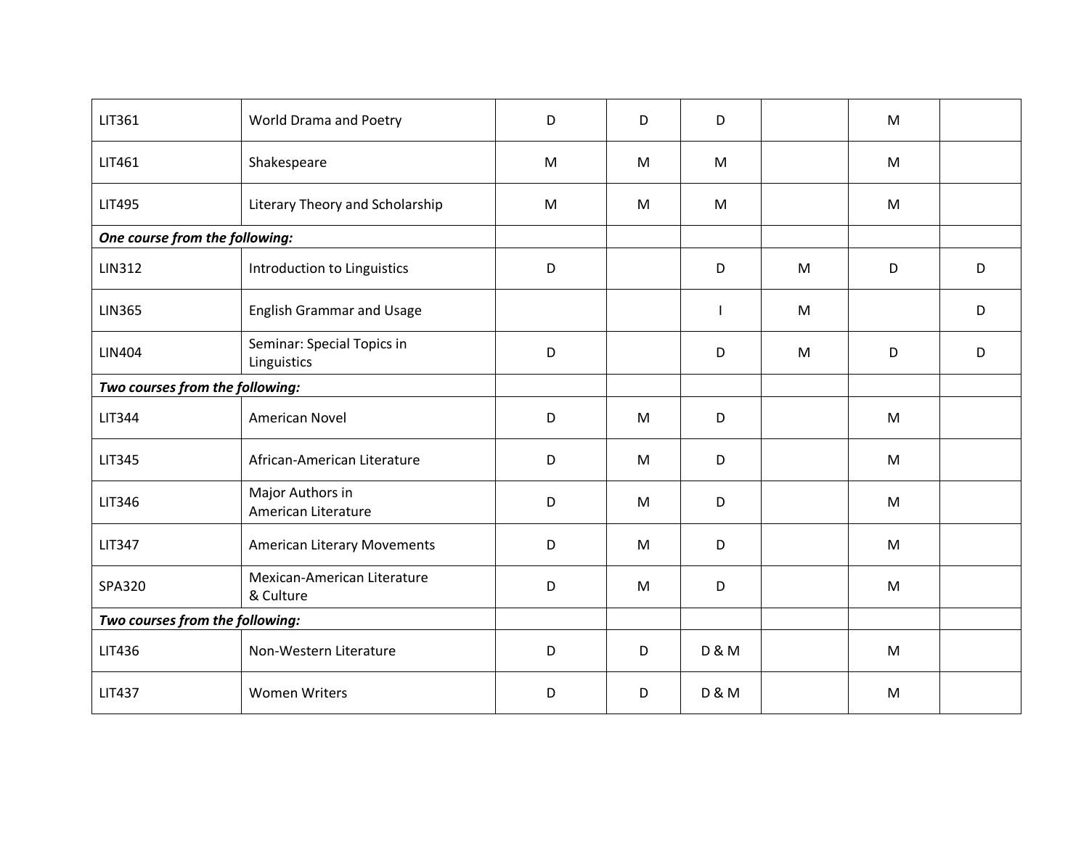| LIT361                          | World Drama and Poetry                    | D | D | D                |   | M |   |
|---------------------------------|-------------------------------------------|---|---|------------------|---|---|---|
| LIT461                          | Shakespeare                               | M | M | M                |   | M |   |
| <b>LIT495</b>                   | Literary Theory and Scholarship           | M | M | M                |   | M |   |
| One course from the following:  |                                           |   |   |                  |   |   |   |
| <b>LIN312</b>                   | Introduction to Linguistics               | D |   | D                | M | D | D |
| <b>LIN365</b>                   | <b>English Grammar and Usage</b>          |   |   | $\mathsf{l}$     | M |   | D |
| <b>LIN404</b>                   | Seminar: Special Topics in<br>Linguistics | D |   | D                | M | D | D |
| Two courses from the following: |                                           |   |   |                  |   |   |   |
| <b>LIT344</b>                   | American Novel                            | D | M | D                |   | M |   |
| <b>LIT345</b>                   | African-American Literature               | D | M | D                |   | M |   |
| LIT346                          | Major Authors in<br>American Literature   | D | M | D                |   | M |   |
| <b>LIT347</b>                   | <b>American Literary Movements</b>        | D | M | D                |   | M |   |
| SPA320                          | Mexican-American Literature<br>& Culture  | D | M | D                |   | M |   |
| Two courses from the following: |                                           |   |   |                  |   |   |   |
| LIT436                          | Non-Western Literature                    | D | D | <b>D &amp; M</b> |   | M |   |
| <b>LIT437</b>                   | <b>Women Writers</b>                      | D | D | <b>D &amp; M</b> |   | M |   |